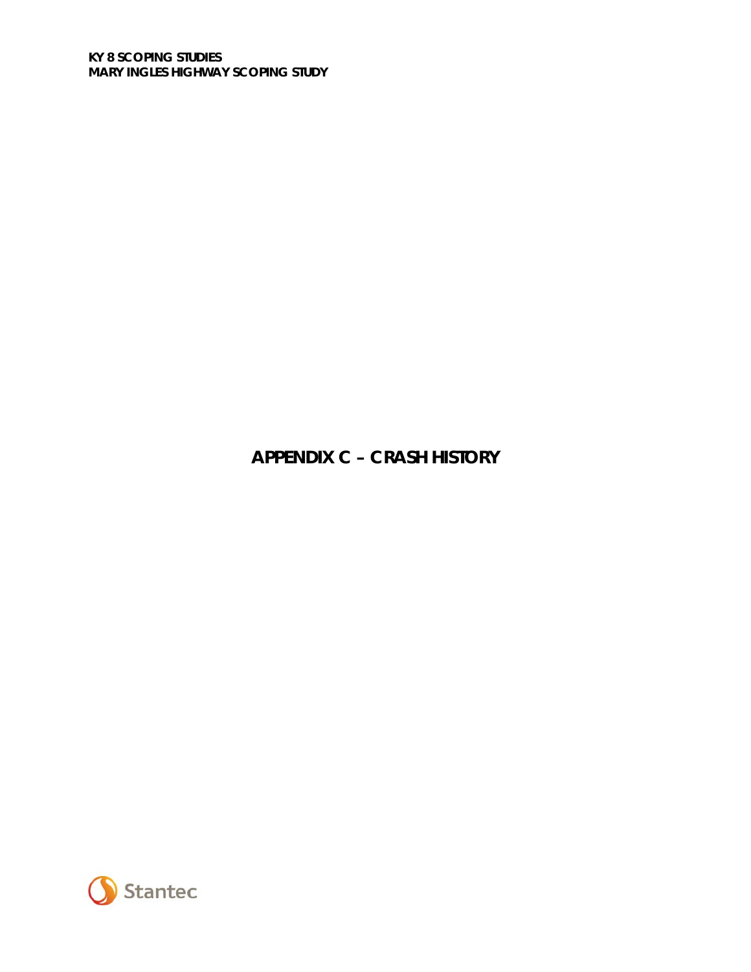## **APPENDIX C - CRASH HISTORY**